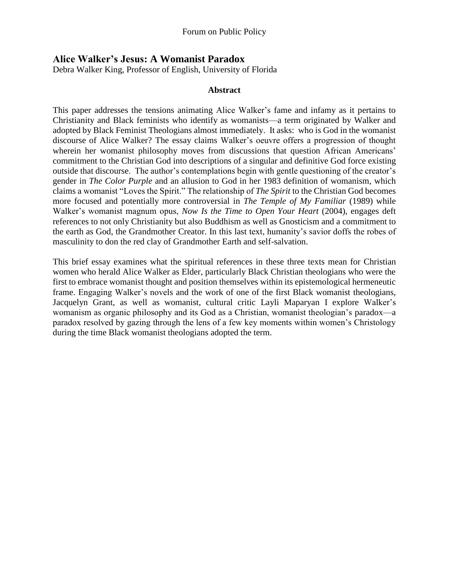## **Alice Walker's Jesus: A Womanist Paradox**

Debra Walker King, Professor of English, University of Florida

## **Abstract**

This paper addresses the tensions animating Alice Walker's fame and infamy as it pertains to Christianity and Black feminists who identify as womanists—a term originated by Walker and adopted by Black Feminist Theologians almost immediately. It asks: who is God in the womanist discourse of Alice Walker? The essay claims Walker's oeuvre offers a progression of thought wherein her womanist philosophy moves from discussions that question African Americans' commitment to the Christian God into descriptions of a singular and definitive God force existing outside that discourse. The author's contemplations begin with gentle questioning of the creator's gender in *The Color Purple* and an allusion to God in her 1983 definition of womanism, which claims a womanist "Loves the Spirit." The relationship of *The Spirit* to the Christian God becomes more focused and potentially more controversial in *The Temple of My Familiar* (1989) while Walker's womanist magnum opus, *Now Is the Time to Open Your Heart* (2004), engages deft references to not only Christianity but also Buddhism as well as Gnosticism and a commitment to the earth as God, the Grandmother Creator. In this last text, humanity's savior doffs the robes of masculinity to don the red clay of Grandmother Earth and self-salvation.

This brief essay examines what the spiritual references in these three texts mean for Christian women who herald Alice Walker as Elder, particularly Black Christian theologians who were the first to embrace womanist thought and position themselves within its epistemological hermeneutic frame. Engaging Walker's novels and the work of one of the first Black womanist theologians, Jacquelyn Grant, as well as womanist, cultural critic Layli Maparyan I explore Walker's womanism as organic philosophy and its God as a Christian, womanist theologian's paradox—a paradox resolved by gazing through the lens of a few key moments within women's Christology during the time Black womanist theologians adopted the term.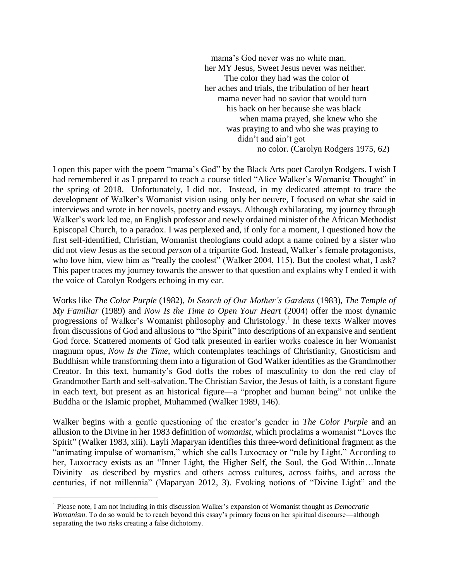mama's God never was no white man. her MY Jesus, Sweet Jesus never was neither. The color they had was the color of her aches and trials, the tribulation of her heart mama never had no savior that would turn his back on her because she was black when mama prayed, she knew who she was praying to and who she was praying to didn't and ain't got no color. (Carolyn Rodgers 1975, 62)

I open this paper with the poem "mama's God" by the Black Arts poet Carolyn Rodgers. I wish I had remembered it as I prepared to teach a course titled "Alice Walker's Womanist Thought" in the spring of 2018. Unfortunately, I did not. Instead, in my dedicated attempt to trace the development of Walker's Womanist vision using only her oeuvre, I focused on what she said in interviews and wrote in her novels, poetry and essays. Although exhilarating, my journey through Walker's work led me, an English professor and newly ordained minister of the African Methodist Episcopal Church, to a paradox. I was perplexed and, if only for a moment, I questioned how the first self-identified, Christian, Womanist theologians could adopt a name coined by a sister who did not view Jesus as the second *person* of a tripartite God. Instead, Walker's female protagonists, who love him, view him as "really the coolest" (Walker 2004, 115). But the coolest what, I ask? This paper traces my journey towards the answer to that question and explains why I ended it with the voice of Carolyn Rodgers echoing in my ear.

Works like *The Color Purple* (1982), *In Search of Our Mother's Gardens* (1983), *The Temple of My Familiar* (1989) and *Now Is the Time to Open Your Heart* (2004) offer the most dynamic progressions of Walker's Womanist philosophy and Christology. 1 In these texts Walker moves from discussions of God and allusions to "the Spirit" into descriptions of an expansive and sentient God force. Scattered moments of God talk presented in earlier works coalesce in her Womanist magnum opus, *Now Is the Time*, which contemplates teachings of Christianity, Gnosticism and Buddhism while transforming them into a figuration of God Walker identifies as the Grandmother Creator. In this text, humanity's God doffs the robes of masculinity to don the red clay of Grandmother Earth and self-salvation. The Christian Savior, the Jesus of faith, is a constant figure in each text, but present as an historical figure—a "prophet and human being" not unlike the Buddha or the Islamic prophet, Muhammed (Walker 1989, 146).

Walker begins with a gentle questioning of the creator's gender in *The Color Purple* and an allusion to the Divine in her 1983 definition of *womanist*, which proclaims a womanist "Loves the Spirit" (Walker 1983, xiii). Layli Maparyan identifies this three-word definitional fragment as the "animating impulse of womanism," which she calls Luxocracy or "rule by Light." According to her, Luxocracy exists as an "Inner Light, the Higher Self, the Soul, the God Within...Innate Divinity—as described by mystics and others across cultures, across faiths, and across the centuries, if not millennia" (Maparyan 2012, 3). Evoking notions of "Divine Light" and the

 $\overline{a}$ 

<sup>1</sup> Please note, I am not including in this discussion Walker's expansion of Womanist thought as *Democratic Womanism*. To do so would be to reach beyond this essay's primary focus on her spiritual discourse—although separating the two risks creating a false dichotomy.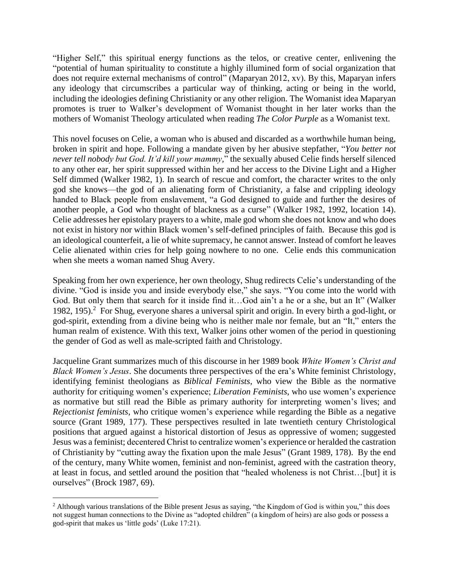"Higher Self," this spiritual energy functions as the telos, or creative center, enlivening the "potential of human spirituality to constitute a highly illumined form of social organization that does not require external mechanisms of control" (Maparyan 2012, xv). By this, Maparyan infers any ideology that circumscribes a particular way of thinking, acting or being in the world, including the ideologies defining Christianity or any other religion. The Womanist idea Maparyan promotes is truer to Walker's development of Womanist thought in her later works than the mothers of Womanist Theology articulated when reading *The Color Purple* as a Womanist text.

This novel focuses on Celie, a woman who is abused and discarded as a worthwhile human being, broken in spirit and hope. Following a mandate given by her abusive stepfather, "*You better not never tell nobody but God. It'd kill your mammy,*" the sexually abused Celie finds herself silenced to any other ear, her spirit suppressed within her and her access to the Divine Light and a Higher Self dimmed (Walker 1982, 1). In search of rescue and comfort, the character writes to the only god she knows—the god of an alienating form of Christianity, a false and crippling ideology handed to Black people from enslavement, "a God designed to guide and further the desires of another people, a God who thought of blackness as a curse" (Walker 1982, 1992, location 14). Celie addresses her epistolary prayers to a white, male god whom she does not know and who does not exist in history nor within Black women's self-defined principles of faith. Because this god is an ideological counterfeit, a lie of white supremacy, he cannot answer. Instead of comfort he leaves Celie alienated within cries for help going nowhere to no one. Celie ends this communication when she meets a woman named Shug Avery.

Speaking from her own experience, her own theology, Shug redirects Celie's understanding of the divine. "God is inside you and inside everybody else," she says. "You come into the world with God. But only them that search for it inside find it…God ain't a he or a she, but an It" (Walker 1982, 195).<sup>2</sup> For Shug, everyone shares a universal spirit and origin. In every birth a god-light, or god-spirit, extending from a divine being who is neither male nor female, but an "It," enters the human realm of existence. With this text, Walker joins other women of the period in questioning the gender of God as well as male-scripted faith and Christology.

Jacqueline Grant summarizes much of this discourse in her 1989 book *White Women's Christ and Black Women's Jesus*. She documents three perspectives of the era's White feminist Christology, identifying feminist theologians as *Biblical Feminists*, who view the Bible as the normative authority for critiquing women's experience; *Liberation Feminists*, who use women's experience as normative but still read the Bible as primary authority for interpreting women's lives; and *Rejectionist feminists*, who critique women's experience while regarding the Bible as a negative source (Grant 1989, 177). These perspectives resulted in late twentieth century Christological positions that argued against a historical distortion of Jesus as oppressive of women; suggested Jesus was a feminist; decentered Christ to centralize women's experience or heralded the castration of Christianity by "cutting away the fixation upon the male Jesus" (Grant 1989, 178). By the end of the century, many White women, feminist and non-feminist, agreed with the castration theory, at least in focus, and settled around the position that "healed wholeness is not Christ…[but] it is ourselves" (Brock 1987, 69).

 $\overline{a}$ 

<sup>&</sup>lt;sup>2</sup> Although various translations of the Bible present Jesus as saying, "the Kingdom of God is within you," this does not suggest human connections to the Divine as "adopted children" (a kingdom of heirs) are also gods or possess a god-spirit that makes us 'little gods' (Luke 17:21).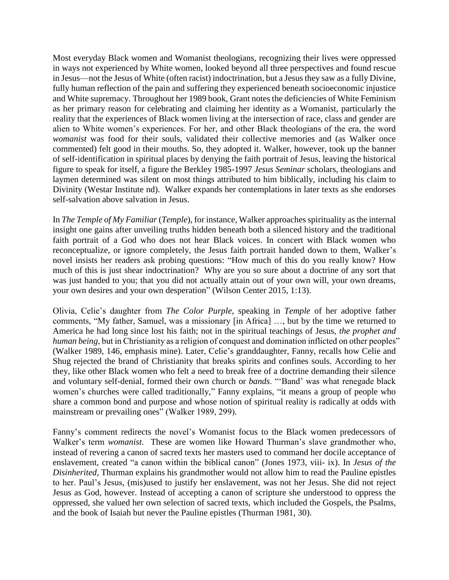Most everyday Black women and Womanist theologians, recognizing their lives were oppressed in ways not experienced by White women, looked beyond all three perspectives and found rescue in Jesus—not the Jesus of White (often racist) indoctrination, but a Jesus they saw as a fully Divine, fully human reflection of the pain and suffering they experienced beneath socioeconomic injustice and White supremacy. Throughout her 1989 book, Grant notes the deficiencies of White Feminism as her primary reason for celebrating and claiming her identity as a Womanist, particularly the reality that the experiences of Black women living at the intersection of race, class and gender are alien to White women's experiences. For her, and other Black theologians of the era, the word *womanist* was food for their souls, validated their collective memories and (as Walker once commented) felt good in their mouths. So, they adopted it. Walker, however, took up the banner of self-identification in spiritual places by denying the faith portrait of Jesus, leaving the historical figure to speak for itself, a figure the Berkley 1985-1997 *Jesus Seminar* scholars, theologians and laymen determined was silent on most things attributed to him biblically, including his claim to Divinity (Westar Institute nd). Walker expands her contemplations in later texts as she endorses self-salvation above salvation in Jesus.

In *The Temple of My Familiar* (*Temple*), for instance, Walker approaches spirituality as the internal insight one gains after unveiling truths hidden beneath both a silenced history and the traditional faith portrait of a God who does not hear Black voices. In concert with Black women who reconceptualize, or ignore completely, the Jesus faith portrait handed down to them, Walker's novel insists her readers ask probing questions: "How much of this do you really know? How much of this is just shear indoctrination? Why are you so sure about a doctrine of any sort that was just handed to you; that you did not actually attain out of your own will, your own dreams, your own desires and your own desperation" (Wilson Center 2015, 1:13).

Olivia, Celie's daughter from *The Color Purple*, speaking in *Temple* of her adoptive father comments, "My father, Samuel, was a missionary [in Africa] …, but by the time we returned to America he had long since lost his faith; not in the spiritual teachings of Jesus, *the prophet and human being*, but in Christianity as a religion of conquest and domination inflicted on other peoples" (Walker 1989, 146, emphasis mine). Later, Celie's granddaughter, Fanny, recalls how Celie and Shug rejected the brand of Christianity that breaks spirits and confines souls. According to her they, like other Black women who felt a need to break free of a doctrine demanding their silence and voluntary self-denial, formed their own church or *bands*. "'Band' was what renegade black women's churches were called traditionally," Fanny explains, "it means a group of people who share a common bond and purpose and whose notion of spiritual reality is radically at odds with mainstream or prevailing ones" (Walker 1989, 299).

Fanny's comment redirects the novel's Womanist focus to the Black women predecessors of Walker's term *womanist*. These are women like Howard Thurman's slave grandmother who, instead of revering a canon of sacred texts her masters used to command her docile acceptance of enslavement, created "a canon within the biblical canon" (Jones 1973, viii- ix). In *Jesus of the Disinherited*, Thurman explains his grandmother would not allow him to read the Pauline epistles to her. Paul's Jesus, (mis)used to justify her enslavement, was not her Jesus. She did not reject Jesus as God, however. Instead of accepting a canon of scripture she understood to oppress the oppressed, she valued her own selection of sacred texts, which included the Gospels, the Psalms, and the book of Isaiah but never the Pauline epistles (Thurman 1981, 30).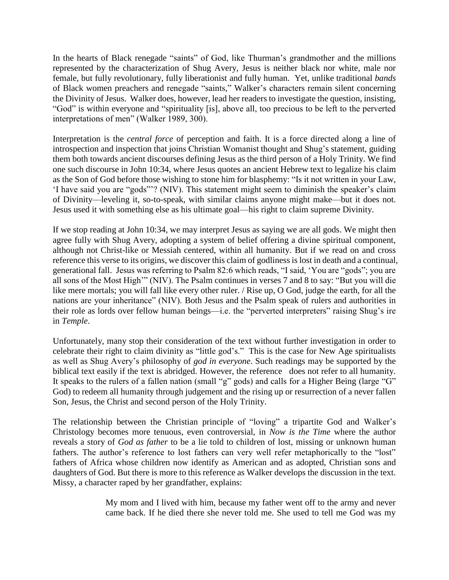In the hearts of Black renegade "saints" of God, like Thurman's grandmother and the millions represented by the characterization of Shug Avery, Jesus is neither black nor white, male nor female, but fully revolutionary, fully liberationist and fully human. Yet, unlike traditional *bands* of Black women preachers and renegade "saints," Walker's characters remain silent concerning the Divinity of Jesus. Walker does, however, lead her readers to investigate the question, insisting, "God" is within everyone and "spirituality [is], above all, too precious to be left to the perverted interpretations of men" (Walker 1989, 300).

Interpretation is the *central force* of perception and faith. It is a force directed along a line of introspection and inspection that joins Christian Womanist thought and Shug's statement, guiding them both towards ancient discourses defining Jesus as the third person of a Holy Trinity. We find one such discourse in John 10:34, where Jesus quotes an ancient Hebrew text to legalize his claim as the Son of God before those wishing to stone him for blasphemy: "Is it not written in your Law, 'I have said you are "gods"'? (NIV). This statement might seem to diminish the speaker's claim of Divinity—leveling it, so-to-speak, with similar claims anyone might make—but it does not. Jesus used it with something else as his ultimate goal—his right to claim supreme Divinity.

If we stop reading at John 10:34, we may interpret Jesus as saying we are all gods. We might then agree fully with Shug Avery, adopting a system of belief offering a divine spiritual component, although not Christ-like or Messiah centered, within all humanity. But if we read on and cross reference this verse to its origins, we discover this claim of godliness is lost in death and a continual, generational fall. Jesus was referring to Psalm 82:6 which reads, "I said, 'You are "gods"; you are all sons of the Most High'" (NIV). The Psalm continues in verses 7 and 8 to say: "But you will die like mere mortals; you will fall like every other ruler. / Rise up, O God, judge the earth, for all the nations are your inheritance" (NIV). Both Jesus and the Psalm speak of rulers and authorities in their role as lords over fellow human beings—i.e. the "perverted interpreters" raising Shug's ire in *Temple*.

Unfortunately, many stop their consideration of the text without further investigation in order to celebrate their right to claim divinity as "little god's." This is the case for New Age spiritualists as well as Shug Avery's philosophy of *god in everyone*. Such readings may be supported by the biblical text easily if the text is abridged. However, the reference does not refer to all humanity. It speaks to the rulers of a fallen nation (small "g" gods) and calls for a Higher Being (large "G" God) to redeem all humanity through judgement and the rising up or resurrection of a never fallen Son, Jesus, the Christ and second person of the Holy Trinity.

The relationship between the Christian principle of "loving" a tripartite God and Walker's Christology becomes more tenuous, even controversial, in *Now is the Time* where the author reveals a story of *God as father* to be a lie told to children of lost, missing or unknown human fathers. The author's reference to lost fathers can very well refer metaphorically to the "lost" fathers of Africa whose children now identify as American and as adopted, Christian sons and daughters of God. But there is more to this reference as Walker develops the discussion in the text. Missy, a character raped by her grandfather, explains:

> My mom and I lived with him, because my father went off to the army and never came back. If he died there she never told me. She used to tell me God was my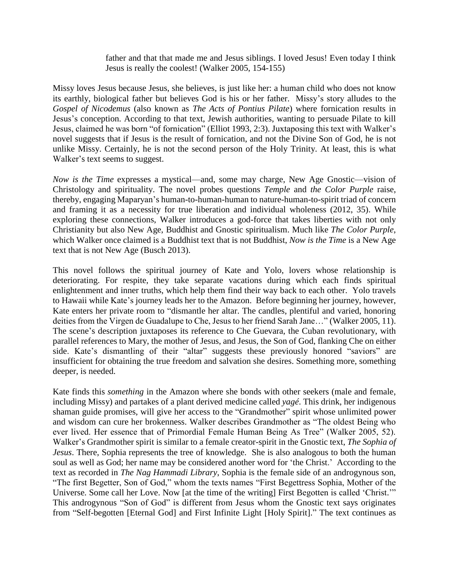father and that that made me and Jesus siblings. I loved Jesus! Even today I think Jesus is really the coolest! (Walker 2005, 154-155)

Missy loves Jesus because Jesus, she believes, is just like her: a human child who does not know its earthly, biological father but believes God is his or her father. Missy's story alludes to the *Gospel of Nicodemus* (also known as *The Acts of Pontius Pilate*) where fornication results in Jesus's conception. According to that text, Jewish authorities, wanting to persuade Pilate to kill Jesus, claimed he was born "of fornication" (Elliot 1993, 2:3). Juxtaposing this text with Walker's novel suggests that if Jesus is the result of fornication, and not the Divine Son of God, he is not unlike Missy. Certainly, he is not the second person of the Holy Trinity. At least, this is what Walker's text seems to suggest.

*Now is the Time* expresses a mystical—and, some may charge, New Age Gnostic—vision of Christology and spirituality. The novel probes questions *Temple* and *the Color Purple* raise, thereby, engaging Maparyan's human-to-human-human to nature-human-to-spirit triad of concern and framing it as a necessity for true liberation and individual wholeness (2012, 35). While exploring these connections, Walker introduces a god-force that takes liberties with not only Christianity but also New Age, Buddhist and Gnostic spiritualism. Much like *The Color Purple*, which Walker once claimed is a Buddhist text that is not Buddhist, *Now is the Time* is a New Age text that is not New Age (Busch 2013).

This novel follows the spiritual journey of Kate and Yolo, lovers whose relationship is deteriorating. For respite, they take separate vacations during which each finds spiritual enlightenment and inner truths, which help them find their way back to each other. Yolo travels to Hawaii while Kate's journey leads her to the Amazon. Before beginning her journey, however, Kate enters her private room to "dismantle her altar. The candles, plentiful and varied, honoring deities from the Virgen de Guadalupe to Che, Jesus to her friend Sarah Jane…" (Walker 2005, 11). The scene's description juxtaposes its reference to Che Guevara, the Cuban revolutionary, with parallel references to Mary, the mother of Jesus, and Jesus, the Son of God, flanking Che on either side. Kate's dismantling of their "altar" suggests these previously honored "saviors" are insufficient for obtaining the true freedom and salvation she desires. Something more, something deeper, is needed.

Kate finds this *something* in the Amazon where she bonds with other seekers (male and female, including Missy) and partakes of a plant derived medicine called *yagé*. This drink, her indigenous shaman guide promises, will give her access to the "Grandmother" spirit whose unlimited power and wisdom can cure her brokenness. Walker describes Grandmother as "The oldest Being who ever lived. Her essence that of Primordial Female Human Being As Tree" (Walker 2005, 52). Walker's Grandmother spirit is similar to a female creator-spirit in the Gnostic text, *The Sophia of Jesus*. There, Sophia represents the tree of knowledge. She is also analogous to both the human soul as well as God; her name may be considered another word for 'the Christ.' According to the text as recorded in *The Nag Hammadi Library*, Sophia is the female side of an androgynous son, "The first Begetter, Son of God," whom the texts names "First Begettress Sophia, Mother of the Universe. Some call her Love. Now [at the time of the writing] First Begotten is called 'Christ.'" This androgynous "Son of God" is different from Jesus whom the Gnostic text says originates from "Self-begotten [Eternal God] and First Infinite Light [Holy Spirit]." The text continues as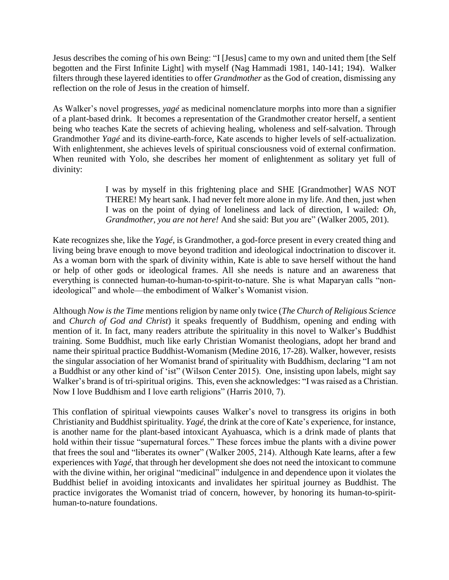Jesus describes the coming of his own Being: "I [Jesus] came to my own and united them [the Self begotten and the First Infinite Light] with myself (Nag Hammadi 1981, 140-141; 194). Walker filters through these layered identities to offer *Grandmother* as the God of creation, dismissing any reflection on the role of Jesus in the creation of himself.

As Walker's novel progresses, *yagé* as medicinal nomenclature morphs into more than a signifier of a plant-based drink. It becomes a representation of the Grandmother creator herself, a sentient being who teaches Kate the secrets of achieving healing, wholeness and self-salvation. Through Grandmother *Yagé* and its divine-earth-force, Kate ascends to higher levels of self-actualization. With enlightenment, she achieves levels of spiritual consciousness void of external confirmation. When reunited with Yolo, she describes her moment of enlightenment as solitary yet full of divinity:

> I was by myself in this frightening place and SHE [Grandmother] WAS NOT THERE! My heart sank. I had never felt more alone in my life. And then, just when I was on the point of dying of loneliness and lack of direction, I wailed: *Oh, Grandmother, you are not here!* And she said: But *you* are" (Walker 2005, 201).

Kate recognizes she, like the *Yagé*, is Grandmother, a god-force present in every created thing and living being brave enough to move beyond tradition and ideological indoctrination to discover it. As a woman born with the spark of divinity within, Kate is able to save herself without the hand or help of other gods or ideological frames. All she needs is nature and an awareness that everything is connected human-to-human-to-spirit-to-nature. She is what Maparyan calls "nonideological" and whole—the embodiment of Walker's Womanist vision.

Although *Now is the Time* mentions religion by name only twice (*The Church of Religious Science* and *Church of God and Christ*) it speaks frequently of Buddhism, opening and ending with mention of it. In fact, many readers attribute the spirituality in this novel to Walker's Buddhist training. Some Buddhist, much like early Christian Womanist theologians, adopt her brand and name their spiritual practice Buddhist-Womanism (Medine 2016, 17-28). Walker, however, resists the singular association of her Womanist brand of spirituality with Buddhism, declaring "I am not a Buddhist or any other kind of 'ist" (Wilson Center 2015). One, insisting upon labels, might say Walker's brand is of tri-spiritual origins. This, even she acknowledges: "I was raised as a Christian. Now I love Buddhism and I love earth religions" (Harris 2010, 7).

This conflation of spiritual viewpoints causes Walker's novel to transgress its origins in both Christianity and Buddhist spirituality. *Yagé*, the drink at the core of Kate's experience, for instance, is another name for the plant-based intoxicant Ayahuasca, which is a drink made of plants that hold within their tissue "supernatural forces." These forces imbue the plants with a divine power that frees the soul and "liberates its owner" (Walker 2005, 214). Although Kate learns, after a few experiences with *Yagé,* that through her development she does not need the intoxicant to commune with the divine within, her original "medicinal" indulgence in and dependence upon it violates the Buddhist belief in avoiding intoxicants and invalidates her spiritual journey as Buddhist. The practice invigorates the Womanist triad of concern, however, by honoring its human-to-spirithuman-to-nature foundations.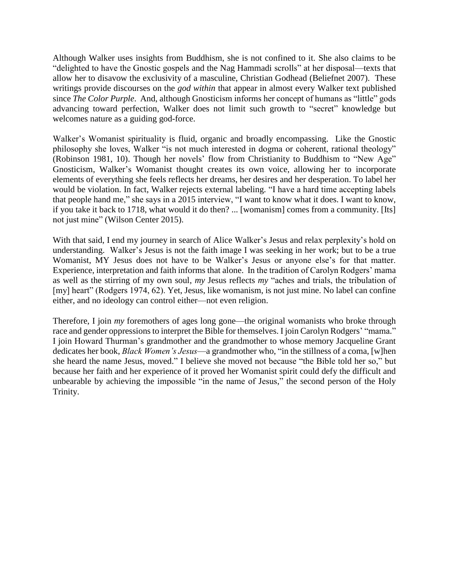Although Walker uses insights from Buddhism, she is not confined to it. She also claims to be "delighted to have the Gnostic gospels and the Nag Hammadi scrolls" at her disposal—texts that allow her to disavow the exclusivity of a masculine, Christian Godhead (Beliefnet 2007). These writings provide discourses on the *god within* that appear in almost every Walker text published since *The Color Purple*. And, although Gnosticism informs her concept of humans as "little" gods advancing toward perfection, Walker does not limit such growth to "secret" knowledge but welcomes nature as a guiding god-force.

Walker's Womanist spirituality is fluid, organic and broadly encompassing. Like the Gnostic philosophy she loves, Walker "is not much interested in dogma or coherent, rational theology" (Robinson 1981, 10). Though her novels' flow from Christianity to Buddhism to "New Age" Gnosticism, Walker's Womanist thought creates its own voice, allowing her to incorporate elements of everything she feels reflects her dreams, her desires and her desperation. To label her would be violation. In fact, Walker rejects external labeling. "I have a hard time accepting labels that people hand me," she says in a 2015 interview, "I want to know what it does. I want to know, if you take it back to 1718, what would it do then? ... [womanism] comes from a community. [Its] not just mine" (Wilson Center 2015).

With that said, I end my journey in search of Alice Walker's Jesus and relax perplexity's hold on understanding. Walker's Jesus is not the faith image I was seeking in her work; but to be a true Womanist, MY Jesus does not have to be Walker's Jesus or anyone else's for that matter. Experience, interpretation and faith informs that alone. In the tradition of Carolyn Rodgers' mama as well as the stirring of my own soul, *my* Jesus reflects *my* "aches and trials, the tribulation of [my] heart" (Rodgers 1974, 62). Yet, Jesus, like womanism, is not just mine. No label can confine either, and no ideology can control either—not even religion.

Therefore, I join *my* foremothers of ages long gone—the original womanists who broke through race and gender oppressions to interpret the Bible for themselves. I join Carolyn Rodgers' "mama." I join Howard Thurman's grandmother and the grandmother to whose memory Jacqueline Grant dedicates her book, *Black Women's Jesus*—a grandmother who, "in the stillness of a coma, [w]hen she heard the name Jesus, moved." I believe she moved not because "the Bible told her so," but because her faith and her experience of it proved her Womanist spirit could defy the difficult and unbearable by achieving the impossible "in the name of Jesus," the second person of the Holy Trinity.